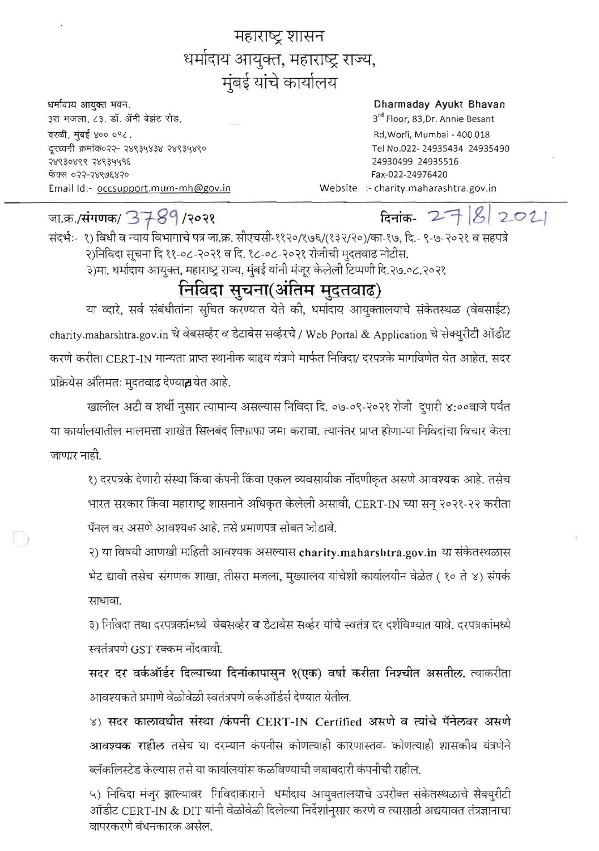महाराष्ट्र शासन धर्मादाय आयुक्त, महाराष्ट्र राज्य, मुंबई यांचे कार्यालय

धर्मादाय आयुक्त भवन, ३रा मजला, ८३, डॉ. ॲनी बेझंट रोड, वरळी, मुंबई ४०० ०१८. दुरध्वनी क्रमांक०२२- २४९३५४३४ २४९३५४९० 28830888 28834498 ৰ্দ্যব্দে ০২২-২४९७६४२० Email Id:- occsupport.mum-mh@gov.in

## Dharmaday Ayukt Bhavan

3<sup>rd</sup> Floor, 83, Dr. Annie Besant Rd, Worli, Mumbai - 400 018 Tel No.022-24935434 24935490 24930499 24935516 Fax-022-24976420 Website :- charity.maharashtra.gov.in

जा.क्र./संगणक/ 3789/२०२१

 $\bigcirc$ 

## दिनांक-  $2782021$

संदर्भ:- १) विधी व न्याय विभागाचे पत्र जा.क्र. सीएचसी-११२०/१७६/(१३२/२०)/का-१७, दि.- ९-७-२०२१ व सहपत्रे २)निविदा सूचना दि ११-०८-२०२१ व दि. १८-०८-२०२१ रोजीची मुदतवाढ नोटीस. ३)मा. धर्मादाय आयुक्त, महाराष्ट्र राज्य, मुंबई यांनी मंजूर केलेली टिप्पणी दि.२७.०८.२०२१

## निविदा सूचना(अंतिम मुदुतवाढ)

या व्दारे, सर्व संबंधीतांना सुचित करण्यात येते की, धर्मादाय आयुक्तालयाचे संकेतस्थळ (वेबसाईट) charity.maharshtra.gov.in चे वेबसर्व्हर व डेटाबेस सर्व्हरचे / Web Portal & Application चे सेक्युरीटी ऑडीट करणे करीता CERT-IN मान्यता प्राप्त स्थानीक बाहृय यंत्रणे मार्फत निविदा/ दरपत्रके मागविणेत येत आहेत. सदर प्रक्रियेस अंतिमतः मुदतवाढ देण्यात थेत आहे.

खालील अटी व शर्थी नुसार त्यामान्य असल्यास निविदा दि. ०७-०९-२०२१ रोजी दुपारी ४:००वाजे पर्यंत या कार्यालयातील मालमत्ता शाखेत सिलबंद लिफाफा जमा करावा. त्यानंतर प्राप्त होणा-या निविदांचा विचार केला जाणार नाही.

१) दरपत्रके देणारी संस्था किंवा कंपनी किंवा एकल व्यवसायीक नोंदणीकृत असणे आवश्यक आहे. तसेच भारत सरकार किंवा महाराष्ट्र शासनाने अधिकृत केलेली असावी, CERT-IN च्या सन् २०२१-२२ करीता पॅनल वर असणे आवश्यक आहे. तसे प्रमाणपत्र सोबत जोडावे.

२) या विषयी आणखी माहिती आवश्यक असल्यास charity.maharshtra.gov.in या संकेतस्थळास भेट द्यावी तसेच संगणक शाखा, तीसरा मजला, मुख्यालय यांचेशी कार्यालयीन वेळेत ( १० ते ४) संपर्क साधावा.

३) निविदा तथा दरपत्रकांमध्ये वेबसर्व्हर व डेटाबेस सर्व्हर यांचे स्वतंत्र दर दर्शविण्यात यावे. दरपत्रकांमध्ये स्वतंत्रपणे GST रक्कम नोंदवावी.

सदर दर वर्कऑर्डर दिल्याच्या दिनांकापासुन १(एक) वर्षा करीता निश्चीत असतील. त्याकरीता आवश्यकते प्रमाणे वेळोवेळी स्वतंत्रपणे वर्कऑर्डर्स देण्यात येतील.

४) सदर कालावधीत संस्था /कंपनी CERT-IN Certified असणे व त्यांचे पॅनेलवर असणे <mark>आवश्यक राहील</mark> तसेच या दरम्यान कंपनीस कोणत्याही कारणास्तव- कोणत्याही शासकीय यंत्रणेने ब्लॅकलिस्टेड केल्यास तसे या कार्यालयांस कळविण्याची जबाबदारी कंपनीची राहील.

५) निविदा मंजूर झाल्यावर निविदाकाराने धर्मादाय आयुक्तालयाचे उपरोक्त संकेतस्थळाचे सेक्युरीटी ऑडीट CERT-IN & DIT यांनी वेळोवेळी दिलेल्या निर्देशांनुसार करणे व त्यासाठी अद्ययावत तंत्रज्ञानाचा वापरकरणे बंधनकारक असेल.